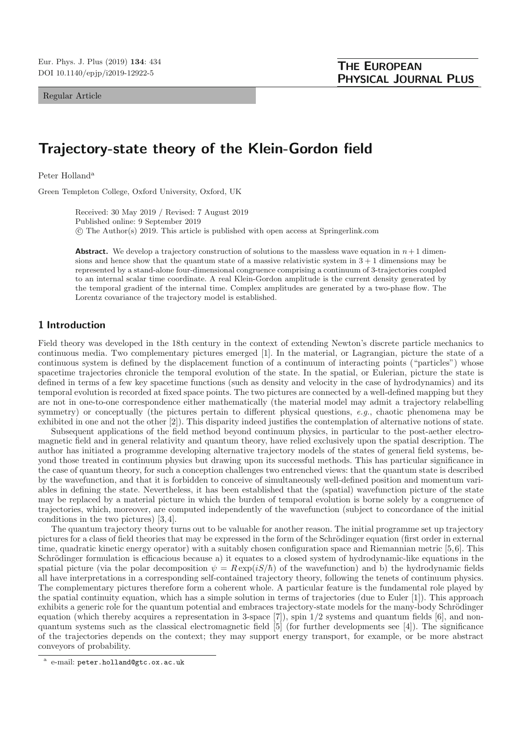Regular Article

# **Trajectory-state theory of the Klein-Gordon field**

Peter Holland<sup>a</sup>

Green Templeton College, Oxford University, Oxford, UK

Received: 30 May 2019 / Revised: 7 August 2019 Published online: 9 September 2019 -c The Author(s) 2019. This article is published with open access at Springerlink.com

**Abstract.** We develop a trajectory construction of solutions to the massless wave equation in  $n+1$  dimensions and hence show that the quantum state of a massive relativistic system in  $3 + 1$  dimensions may be represented by a stand-alone four-dimensional congruence comprising a continuum of 3-trajectories coupled to an internal scalar time coordinate. A real Klein-Gordon amplitude is the current density generated by the temporal gradient of the internal time. Complex amplitudes are generated by a two-phase flow. The Lorentz covariance of the trajectory model is established.

#### **1 Introduction**

Field theory was developed in the 18th century in the context of extending Newton's discrete particle mechanics to continuous media. Two complementary pictures emerged [1]. In the material, or Lagrangian, picture the state of a continuous system is defined by the displacement function of a continuum of interacting points ("particles") whose spacetime trajectories chronicle the temporal evolution of the state. In the spatial, or Eulerian, picture the state is defined in terms of a few key spacetime functions (such as density and velocity in the case of hydrodynamics) and its temporal evolution is recorded at fixed space points. The two pictures are connected by a well-defined mapping but they are not in one-to-one correspondence either mathematically (the material model may admit a trajectory relabelling symmetry) or conceptually (the pictures pertain to different physical questions, e.g., chaotic phenomena may be exhibited in one and not the other [2]). This disparity indeed justifies the contemplation of alternative notions of state.

Subsequent applications of the field method beyond continuum physics, in particular to the post-aether electromagnetic field and in general relativity and quantum theory, have relied exclusively upon the spatial description. The author has initiated a programme developing alternative trajectory models of the states of general field systems, beyond those treated in continuum physics but drawing upon its successful methods. This has particular significance in the case of quantum theory, for such a conception challenges two entrenched views: that the quantum state is described by the wavefunction, and that it is forbidden to conceive of simultaneously well-defined position and momentum variables in defining the state. Nevertheless, it has been established that the (spatial) wavefunction picture of the state may be replaced by a material picture in which the burden of temporal evolution is borne solely by a congruence of trajectories, which, moreover, are computed independently of the wavefunction (subject to concordance of the initial conditions in the two pictures) [3,4].

The quantum trajectory theory turns out to be valuable for another reason. The initial programme set up trajectory pictures for a class of field theories that may be expressed in the form of the Schrödinger equation (first order in external time, quadratic kinetic energy operator) with a suitably chosen configuration space and Riemannian metric [5,6]. This Schrödinger formulation is efficacious because a) it equates to a closed system of hydrodynamic-like equations in the spatial picture (via the polar decomposition  $\psi = R \exp(iS/\hbar)$  of the wavefunction) and b) the hydrodynamic fields all have interpretations in a corresponding self-contained trajectory theory, following the tenets of continuum physics. The complementary pictures therefore form a coherent whole. A particular feature is the fundamental role played by the spatial continuity equation, which has a simple solution in terms of trajectories (due to Euler [1]). This approach exhibits a generic role for the quantum potential and embraces trajectory-state models for the many-body Schrödinger equation (which thereby acquires a representation in 3-space [7]), spin 1/2 systems and quantum fields [6], and nonquantum systems such as the classical electromagnetic field [5] (for further developments see [4]). The significance of the trajectories depends on the context; they may support energy transport, for example, or be more abstract conveyors of probability.

e-mail: peter.holland@gtc.ox.ac.uk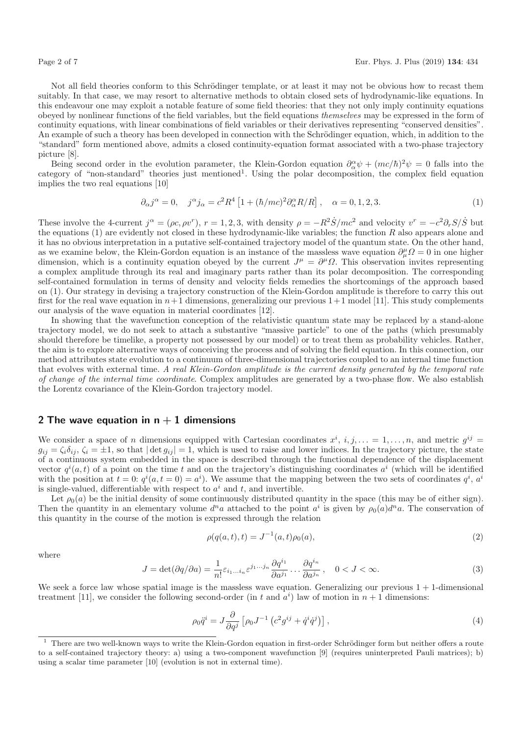Not all field theories conform to this Schrödinger template, or at least it may not be obvious how to recast them suitably. In that case, we may resort to alternative methods to obtain closed sets of hydrodynamic-like equations. In this endeavour one may exploit a notable feature of some field theories: that they not only imply continuity equations obeyed by nonlinear functions of the field variables, but the field equations themselves may be expressed in the form of continuity equations, with linear combinations of field variables or their derivatives representing "conserved densities". An example of such a theory has been developed in connection with the Schrödinger equation, which, in addition to the "standard" form mentioned above, admits a closed continuity-equation format associated with a two-phase trajectory picture [8].

Being second order in the evolution parameter, the Klein-Gordon equation  $\partial_{\alpha}^{\alpha}\psi + (mc/\hbar)^2\psi = 0$  falls into the category of "non-standard" theories just mentioned<sup>1</sup>. Using the polar decomposition, the complex field equation implies the two real equations [10]

$$
\partial_{\alpha}j^{\alpha} = 0, \quad j^{\alpha}j_{\alpha} = c^2 R^4 \left[ 1 + (\hbar/mc)^2 \partial_{\alpha}^{\alpha} R/R \right], \quad \alpha = 0, 1, 2, 3. \tag{1}
$$

These involve the 4-current  $j^{\alpha} = (\rho c, \rho v^r)$ ,  $r = 1, 2, 3$ , with density  $\rho = -R^2\dot{S}/mc^2$  and velocity  $v^r = -c^2\partial_rS/\dot{S}$  but the equations  $(1)$  are evidently not closed in these hydrodynamic-like variables; the function  $R$  also appears alone and it has no obvious interpretation in a putative self-contained trajectory model of the quantum state. On the other hand, as we examine below, the Klein-Gordon equation is an instance of the massless wave equation  $\partial_\mu^\mu \Omega = 0$  in one higher dimension, which is a continuity equation obeyed by the current  $J^{\mu} = \partial^{\mu} \Omega$ . This observation invites representing a complex amplitude through its real and imaginary parts rather than its polar decomposition. The corresponding self-contained formulation in terms of density and velocity fields remedies the shortcomings of the approach based on (1). Our strategy in devising a trajectory construction of the Klein-Gordon amplitude is therefore to carry this out first for the real wave equation in  $n+1$  dimensions, generalizing our previous  $1+1$  model [11]. This study complements our analysis of the wave equation in material coordinates [12].

In showing that the wavefunction conception of the relativistic quantum state may be replaced by a stand-alone trajectory model, we do not seek to attach a substantive "massive particle" to one of the paths (which presumably should therefore be timelike, a property not possessed by our model) or to treat them as probability vehicles. Rather, the aim is to explore alternative ways of conceiving the process and of solving the field equation. In this connection, our method attributes state evolution to a continuum of three-dimensional trajectories coupled to an internal time function that evolves with external time. A real Klein-Gordon amplitude is the current density generated by the temporal rate of change of the internal time coordinate. Complex amplitudes are generated by a two-phase flow. We also establish the Lorentz covariance of the Klein-Gordon trajectory model.

#### **2 The wave equation in**  $n + 1$  **dimensions**

We consider a space of n dimensions equipped with Cartesian coordinates  $x^i, i, j, \ldots = 1, \ldots, n$ , and metric  $g^{ij} =$  $g_{ij} = \zeta_i \delta_{ij}$ ,  $\zeta_i = \pm 1$ , so that  $|\det g_{ij}| = 1$ , which is used to raise and lower indices. In the trajectory picture, the state of a continuous system embedded in the space is described through the functional dependence of the displacement vector  $q^{i}(a,t)$  of a point on the time t and on the trajectory's distinguishing coordinates  $a^{i}$  (which will be identified with the position at  $t = 0$ :  $q^{i}(a, t = 0) = a^{i}$ . We assume that the mapping between the two sets of coordinates  $q^{i}$ ,  $a^{i}$ is single-valued, differentiable with respect to  $a^i$  and t, and invertible.

Let  $\rho_0(a)$  be the initial density of some continuously distributed quantity in the space (this may be of either sign). Then the quantity in an elementary volume  $d^n a$  attached to the point  $a^i$  is given by  $\rho_0(a)d^n a$ . The conservation of this quantity in the course of the motion is expressed through the relation

$$
\rho(q(a,t),t) = J^{-1}(a,t)\rho_0(a),\tag{2}
$$

where

$$
J = \det(\partial q/\partial a) = \frac{1}{n!} \varepsilon_{i_1...i_n} \varepsilon^{j_1...j_n} \frac{\partial q^{i_1}}{\partial a^{j_1}} \dots \frac{\partial q^{i_n}}{\partial a^{j_n}}, \quad 0 < J < \infty.
$$
 (3)

We seek a force law whose spatial image is the massless wave equation. Generalizing our previous  $1 + 1$ -dimensional treatment [11], we consider the following second-order (in t and  $a^i$ ) law of motion in  $n+1$  dimensions:

$$
\rho_0 \ddot{q}^i = J \frac{\partial}{\partial q^j} \left[ \rho_0 J^{-1} \left( c^2 g^{ij} + \dot{q}^i \dot{q}^j \right) \right],\tag{4}
$$

There are two well-known ways to write the Klein-Gordon equation in first-order Schrödinger form but neither offers a route to a self-contained trajectory theory: a) using a two-component wavefunction [9] (requires uninterpreted Pauli matrices); b) using a scalar time parameter [10] (evolution is not in external time).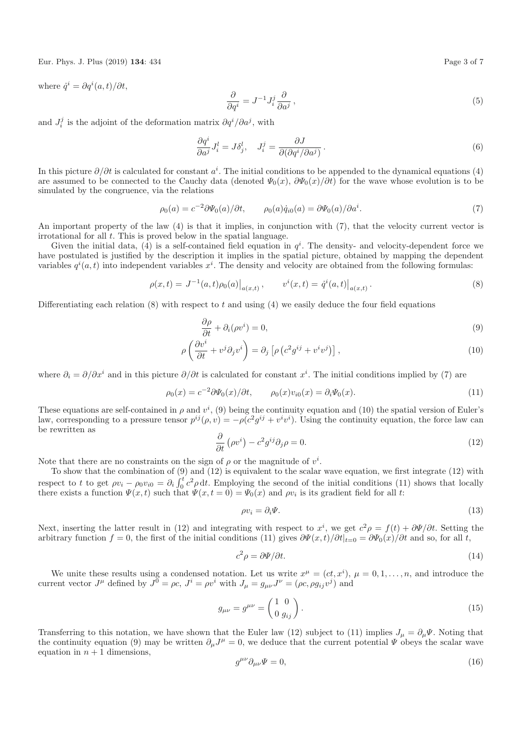Eur. Phys. J. Plus (2019) **134**: 434 Page 3 of 7

where  $\dot{q}^i = \partial q^i(a,t)/\partial t$ ,

$$
\frac{\partial}{\partial q^i} = J^{-1} J_i^j \frac{\partial}{\partial a^j} , \qquad (5)
$$

and  $J_i^j$  is the adjoint of the deformation matrix  $\partial q^i / \partial a^j$ , with

$$
\frac{\partial q^i}{\partial a^j} J_i^l = J \delta_j^l, \quad J_i^j = \frac{\partial J}{\partial (\partial q^i / \partial a^j)}.
$$
\n
$$
(6)
$$

In this picture  $\partial/\partial t$  is calculated for constant  $a^i$ . The initial conditions to be appended to the dynamical equations (4) are assumed to be connected to the Cauchy data (denoted  $\Psi_0(x)$ ,  $\partial \Psi_0(x)/\partial t$ ) for the wave whose evolution is to be simulated by the congruence, via the relations

$$
\rho_0(a) = c^{-2} \partial \Psi_0(a) / \partial t, \qquad \rho_0(a) \dot{q}_{i0}(a) = \partial \Psi_0(a) / \partial a^i. \tag{7}
$$

An important property of the law (4) is that it implies, in conjunction with (7), that the velocity current vector is irrotational for all  $t$ . This is proved below in the spatial language.

Given the initial data, (4) is a self-contained field equation in  $q^i$ . The density- and velocity-dependent force we have postulated is justified by the description it implies in the spatial picture, obtained by mapping the dependent variables  $q^{i}(a,t)$  into independent variables  $x^{i}$ . The density and velocity are obtained from the following formulas:

$$
\rho(x,t) = J^{-1}(a,t)\rho_0(a)|_{a(x,t)}, \qquad v^i(x,t) = \dot{q}^i(a,t)|_{a(x,t)}.
$$
\n(8)

Differentiating each relation  $(8)$  with respect to t and using  $(4)$  we easily deduce the four field equations

$$
\frac{\partial \rho}{\partial t} + \partial_i(\rho v^i) = 0,\tag{9}
$$

$$
\rho \left( \frac{\partial v^i}{\partial t} + v^j \partial_j v^i \right) = \partial_j \left[ \rho \left( c^2 g^{ij} + v^i v^j \right) \right],\tag{10}
$$

where  $\partial_i = \partial/\partial x^i$  and in this picture  $\partial/\partial t$  is calculated for constant  $x^i$ . The initial conditions implied by (7) are

$$
\rho_0(x) = c^{-2} \partial \Psi_0(x) / \partial t, \qquad \rho_0(x) v_{i0}(x) = \partial_i \Psi_0(x). \tag{11}
$$

These equations are self-contained in  $\rho$  and  $v^i$ , (9) being the continuity equation and (10) the spatial version of Euler's law, corresponding to a pressure tensor  $p^{ij}(\rho, v) = -\rho(c^2g^{ij} + v^iv^i)$ . Using the continuity equation, the force law can be rewritten as

$$
\frac{\partial}{\partial t} \left( \rho v^i \right) - c^2 g^{ij} \partial_j \rho = 0. \tag{12}
$$

Note that there are no constraints on the sign of  $\rho$  or the magnitude of  $v^i$ .

To show that the combination of (9) and (12) is equivalent to the scalar wave equation, we first integrate (12) with respect to t to get  $\rho v_i - \rho_0 v_{i0} = \partial_i \int_0^t c^2 \rho dt$ . Employing the second of the initial conditions (11) shows that locally there exists a function  $\Psi(x,t)$  such that  $\Psi(x,t=0) = \Psi_0(x)$  and  $\rho v_i$  is its gradient field for all t:

$$
\rho v_i = \partial_i \Psi. \tag{13}
$$

Next, inserting the latter result in (12) and integrating with respect to  $x^i$ , we get  $c^2 \rho = f(t) + \partial \Psi/\partial t$ . Setting the arbitrary function f = 0, the first of the initial conditions (11) gives  $\partial \Psi(x,t)/\partial t|_{t=0} = \partial \Psi_0(x)/\partial t$  and so, for all t,

$$
c^2 \rho = \partial \Psi / \partial t. \tag{14}
$$

We unite these results using a condensed notation. Let us write  $x^{\mu} = (ct, x^{i}), \mu = 0, 1, ..., n$ , and introduce the current vector  $J^{\mu}$  defined by  $J^{\bar{0}} = \rho c$ ,  $J^i = \rho v^i$  with  $J_{\mu} = g_{\mu\nu}J^{\nu} = (\rho c, \rho g_{ij}v^j)$  and

$$
g_{\mu\nu} = g^{\mu\nu} = \begin{pmatrix} 1 & 0 \\ 0 & g_{ij} \end{pmatrix} . \tag{15}
$$

Transferring to this notation, we have shown that the Euler law (12) subject to (11) implies  $J_\mu = \partial_\mu \Psi$ . Noting that the continuity equation (9) may be written  $\partial_\mu J^\mu = 0$ , we deduce that the current potential  $\Psi$  obeys the scalar wave equation in  $n + 1$  dimensions,

$$
g^{\mu\nu}\partial_{\mu\nu}\Psi = 0,\tag{16}
$$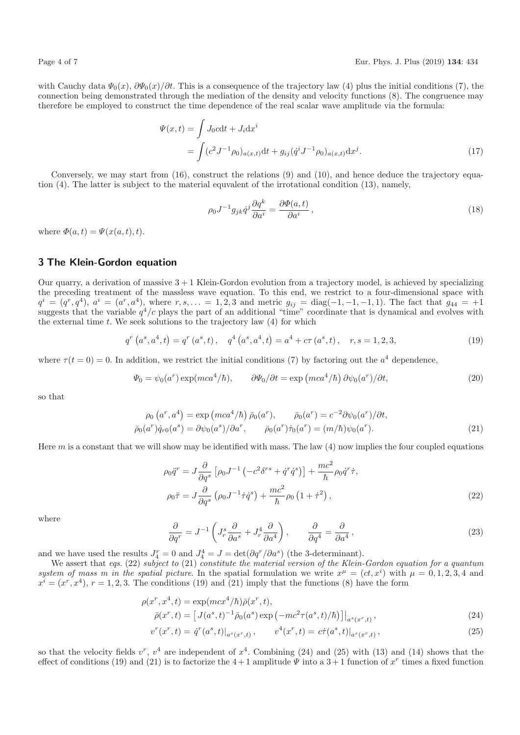with Cauchy data  $\Psi_0(x)$ ,  $\partial\Psi_0(x)/\partial t$ . This is a consequence of the trajectory law (4) plus the initial conditions (7), the connection being demonstrated through the mediation of the density and velocity functions (8). The congruence may therefore be employed to construct the time dependence of the real scalar wave amplitude via the formula:

$$
\Psi(x,t) = \int J_0 c dt + J_i dx^i
$$
  
= 
$$
\int (c^2 J^{-1} \rho_0)_{a(x,t)} dt + g_{ij} (\dot{q}^i J^{-1} \rho_0)_{a(x,t)} dx^j.
$$
 (17)

Conversely, we may start from (16), construct the relations (9) and (10), and hence deduce the trajectory equation (4). The latter is subject to the material equvalent of the irrotational condition (13), namely,

$$
\rho_0 J^{-1} g_{jk} \dot{q}^j \frac{\partial q^k}{\partial a^i} = \frac{\partial \Phi(a, t)}{\partial a^i},\tag{18}
$$

where  $\Phi(a,t) = \Psi(x(a,t),t)$ .

# **3 The Klein-Gordon equation**

Our quarry, a derivation of massive  $3 + 1$  Klein-Gordon evolution from a trajectory model, is achieved by specializing the preceding treatment of the massless wave equation. To this end, we restrict to a four-dimensional space with  $q^i = (q^r, q^4), a^i = (a^r, a^4),$  where  $r, s, ... = 1, 2, 3$  and metric  $g_{ij} = \text{diag}(-1, -1, -1, 1).$  The fact that  $g_{44} = +1$ suggests that the variable  $q^4/c$  plays the part of an additional "time" coordinate that is dynamical and evolves with the external time  $t$ . We seek solutions to the trajectory law  $(4)$  for which

$$
q^{r}(a^{s}, a^{4}, t) = q^{r}(a^{s}, t), \quad q^{4}(a^{s}, a^{4}, t) = a^{4} + c\tau(a^{s}, t), \quad r, s = 1, 2, 3,
$$
\n(19)

where  $\tau(t=0) = 0$ . In addition, we restrict the initial conditions (7) by factoring out the  $a^4$  dependence,

$$
\Psi_0 = \psi_0(a^r) \exp(mca^4/\hbar), \qquad \partial \Psi_0/\partial t = \exp\left(mca^4/\hbar\right) \partial \psi_0(a^r)/\partial t,\tag{20}
$$

so that

$$
\rho_0(a^r, a^4) = \exp\left(mca^4/\hbar\right) \bar{\rho}_0(a^r), \qquad \bar{\rho}_0(a^r) = c^{-2} \partial \psi_0(a^r)/\partial t, \bar{\rho}_0(a^r) \dot{q}_{r0}(a^s) = \partial \psi_0(a^s)/\partial a^r, \qquad \bar{\rho}_0(a^r) \dot{\tau}_0(a^r) = (m/\hbar) \psi_0(a^r).
$$
\n(21)

Here  $m$  is a constant that we will show may be identified with mass. The law  $(4)$  now implies the four coupled equations

$$
\rho_0 \ddot{q}^r = J \frac{\partial}{\partial q^s} \left[ \rho_0 J^{-1} \left( -c^2 \delta^{rs} + \dot{q}^r \dot{q}^s \right) \right] + \frac{mc^2}{\hbar} \rho_0 \dot{q}^r \dot{\tau},
$$
  
\n
$$
\rho_0 \ddot{\tau} = J \frac{\partial}{\partial q^s} \left( \rho_0 J^{-1} \dot{\tau} \dot{q}^s \right) + \frac{mc^2}{\hbar} \rho_0 \left( 1 + \dot{\tau}^2 \right),
$$
\n(22)

where

$$
\frac{\partial}{\partial q^r} = J^{-1} \left( J^s_r \frac{\partial}{\partial a^s} + J^4_r \frac{\partial}{\partial a^4} \right), \qquad \frac{\partial}{\partial q^4} = \frac{\partial}{\partial a^4},\tag{23}
$$

and we have used the results  $J_4^r = 0$  and  $J_4^4 = J = \det(\partial q^r / \partial a^s)$  (the 3-determinant).

We assert that eqs. (22) subject to (21) constitute the material version of the Klein-Gordon equation for a quantum system of mass m in the spatial picture. In the spatial formulation we write  $x^{\mu} = (ct, x^{i})$  with  $\mu = 0, 1, 2, 3, 4$  and  $x^{i} = (x^{r}, x^{4})$ ,  $r = 1, 2, 3$ . The conditions (19) and (21) imply that the functions (8) have the form

$$
\rho(x^r, x^4, t) = \exp(mcx^4/\hbar)\bar{\rho}(x^r, t),
$$

$$
\bar{\rho}(x^r, t) = \left[ J(a^s, t)^{-1} \bar{\rho}_0(a^s) \exp\left(-mc^2 \tau(a^s, t)/\hbar\right) \right] \Big|_{a^s(x^r, t)},\tag{24}
$$

$$
v^{r}(x^{r},t) = \dot{q}^{r}(a^{s},t)|_{a^{s}(x^{r},t)}, \qquad v^{4}(x^{r},t) = c\dot{\tau}(a^{s},t)|_{a^{s}(x^{r},t)}, \qquad (25)
$$

so that the velocity fields  $v^r$ ,  $v^4$  are independent of  $x^4$ . Combining (24) and (25) with (13) and (14) shows that the effect of conditions (19) and (21) is to factorize the 4+1 amplitude  $\Psi$  into a 3+1 function of  $x^r$  times a fixed function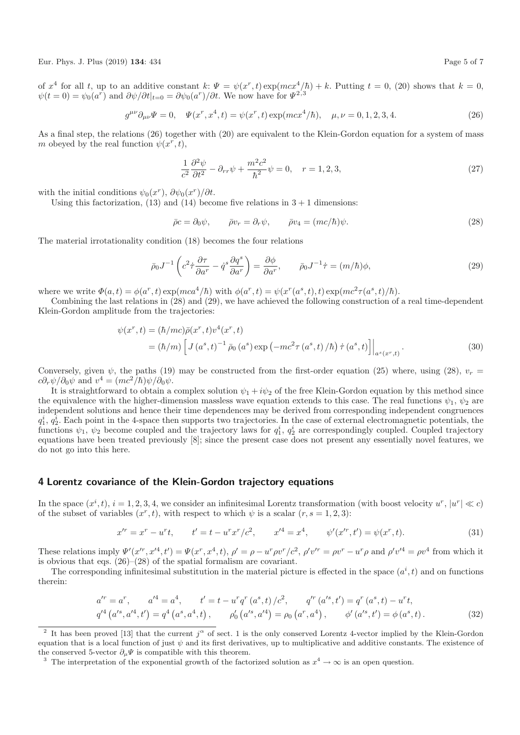Eur. Phys. J. Plus (2019) **134**: 434 Page 5 of 7

of  $x^4$  for all t, up to an additive constant  $k: \Psi = \psi(x^r, t) \exp(m c x^4/\hbar) + k$ . Putting  $t = 0$ , (20) shows that  $k = 0$ ,  $\psi(t=0) = \psi_0(a^r)$  and  $\partial \psi / \partial t|_{t=0} = \partial \psi_0(a^r) / \partial t$ . We now have for  $\Psi^{2,3}$ 

$$
g^{\mu\nu}\partial_{\mu\nu}\Psi = 0, \quad \Psi(x^r, x^4, t) = \psi(x^r, t) \exp(mcx^4/\hbar), \quad \mu, \nu = 0, 1, 2, 3, 4. \tag{26}
$$

As a final step, the relations (26) together with (20) are equivalent to the Klein-Gordon equation for a system of mass m obeyed by the real function  $\psi(x^r, t)$ ,

$$
\frac{1}{c^2} \frac{\partial^2 \psi}{\partial t^2} - \partial_{rr} \psi + \frac{m^2 c^2}{\hbar^2} \psi = 0, \quad r = 1, 2, 3,
$$
\n
$$
(27)
$$

with the initial conditions  $\psi_0(x^r)$ ,  $\partial \psi_0(x^r)/\partial t$ .

Using this factorization,  $(13)$  and  $(14)$  become five relations in  $3 + 1$  dimensions:

$$
\bar{\rho}c = \partial_0 \psi, \qquad \bar{\rho}v_r = \partial_r \psi, \qquad \bar{\rho}v_4 = (mc/\hbar)\psi.
$$
\n(28)

The material irrotationality condition (18) becomes the four relations

$$
\bar{\rho}_0 J^{-1} \left( c^2 \dot{\tau} \frac{\partial \tau}{\partial a^r} - \dot{q}^s \frac{\partial q^s}{\partial a^r} \right) = \frac{\partial \phi}{\partial a^r}, \qquad \bar{\rho}_0 J^{-1} \dot{\tau} = (m/\hbar) \phi,
$$
\n(29)

where we write  $\Phi(a,t) = \phi(a^r, t) \exp(mca^4/\hbar)$  with  $\phi(a^r, t) = \psi(x^r(a^s, t), t) \exp(mc^2\tau(a^s, t)/\hbar)$ .

Combining the last relations in (28) and (29), we have achieved the following construction of a real time-dependent Klein-Gordon amplitude from the trajectories:

$$
\psi(x^r, t) = (\hbar/mc)\bar{\rho}(x^r, t)v^4(x^r, t)
$$
  
=  $(\hbar/m) \left[ J (a^s, t)^{-1} \bar{\rho}_0 (a^s) \exp(-mc^2 \tau (a^s, t) / \hbar) \dot{\tau} (a^s, t) \right]_{a^s(x^r, t)}$ . (30)

Conversely, given  $\psi$ , the paths (19) may be constructed from the first-order equation (25) where, using (28),  $v_r =$  $c\partial_r\psi/\partial_0\psi$  and  $v^4 = (mc^2/\hbar)\psi/\partial_0\psi$ .

It is straightforward to obtain a complex solution  $\psi_1 + i\psi_2$  of the free Klein-Gordon equation by this method since the equivalence with the higher-dimension massless wave equation extends to this case. The real functions  $\psi_1$ ,  $\psi_2$  are independent solutions and hence their time dependences may be derived from corresponding independent congruences  $q_1^i, q_2^i$ . Each point in the 4-space then supports two trajectories. In the case of external electromagnetic potentials, the functions  $\psi_1, \psi_2$  become coupled and the trajectory laws for  $q_1^i, q_2^i$  are correspondingly coupled. Coupled trajectory equations have been treated previously [8]; since the present case does not present any essentially novel features, we do not go into this here.

#### **4 Lorentz covariance of the Klein-Gordon trajectory equations**

In the space  $(x^i, t)$ ,  $i = 1, 2, 3, 4$ , we consider an infinitesimal Lorentz transformation (with boost velocity  $u^r$ ,  $|u^r| \ll c$ ) of the subset of variables  $(x^r, t)$ , with respect to which  $\psi$  is a scalar  $(r, s = 1, 2, 3)$ :

$$
x'^{r} = x^{r} - u^{r}t, \qquad t' = t - u^{r}x^{r}/c^{2}, \qquad x'^{4} = x^{4}, \qquad \psi'(x'^{r}, t') = \psi(x^{r}, t). \tag{31}
$$

These relations imply  $\Psi'(x'^r, x'^4, t') = \Psi(x^r, x^4, t)$ ,  $\rho' = \rho - u^r \rho v^r/c^2$ ,  $\rho' v'^r = \rho v^r - u^r \rho$  and  $\rho' v'^4 = \rho v^4$  from which it is obvious that eqs.  $(26)$ – $(28)$  of the spatial formalism are covariant.

The corresponding infinitesimal substitution in the material picture is effected in the space  $(a^i, t)$  and on functions therein:

$$
a'^{r} = a^{r}, \qquad a'^{4} = a^{4}, \qquad t' = t - u^{r} q^{r} (a^{s}, t) / c^{2}, \qquad q'^{r} (a'^{s}, t') = q^{r} (a^{s}, t) - u^{r} t,
$$
  

$$
q'^{4} (a'^{s}, a'^{4}, t') = q^{4} (a^{s}, a^{4}, t), \qquad \rho'_{0} (a'^{s}, a'^{4}) = \rho_{0} (a^{r}, a^{4}), \qquad \phi' (a'^{s}, t') = \phi (a^{s}, t).
$$
 (32)

It has been proved [13] that the current  $j^{\alpha}$  of sect. 1 is the only conserved Lorentz 4-vector implied by the Klein-Gordon equation that is a local function of just  $\psi$  and its first derivatives, up to multiplicative and additive constants. The existence of the conserved 5-vector  $\partial_{\mu}\Psi$  is compatible with this theorem.

The interpretation of the exponential growth of the factorized solution as  $x^4 \to \infty$  is an open question.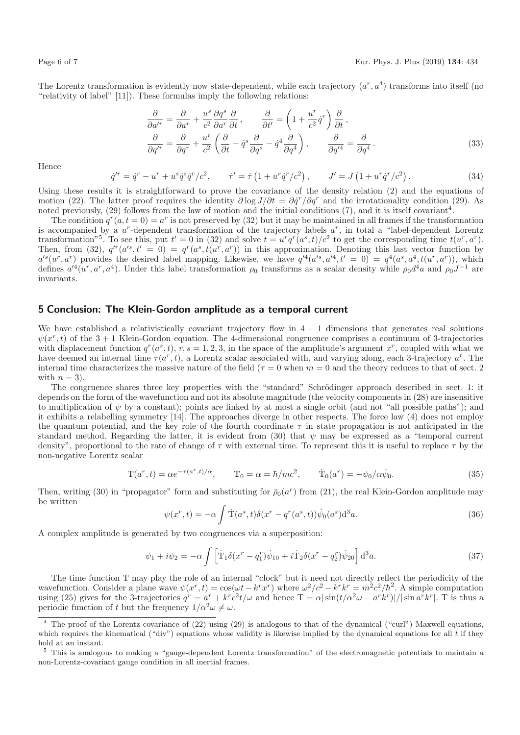The Lorentz transformation is evidently now state-dependent, while each trajectory  $(a^r, a^4)$  transforms into itself (no "relativity of label" [11]). These formulas imply the following relations:

$$
\frac{\partial}{\partial a'^r} = \frac{\partial}{\partial a^r} + \frac{u^s}{c^2} \frac{\partial q^s}{\partial a^r} \frac{\partial}{\partial t}, \qquad \frac{\partial}{\partial t'} = \left(1 + \frac{u^r}{c^2} \dot{q}^r\right) \frac{\partial}{\partial t},
$$

$$
\frac{\partial}{\partial q'^r} = \frac{\partial}{\partial q^r} + \frac{u^r}{c^2} \left(\frac{\partial}{\partial t} - \dot{q}^s \frac{\partial}{\partial q^s} - \dot{q}^4 \frac{\partial}{\partial q^4}\right), \qquad \frac{\partial}{\partial q'^4} = \frac{\partial}{\partial q^4}.
$$
(33)

Hence

$$
\dot{q}^{\prime r} = \dot{q}^r - u^r + u^s \dot{q}^s \dot{q}^r / c^2, \qquad \dot{\tau}^{\prime} = \dot{\tau} \left( 1 + u^r \dot{q}^r / c^2 \right), \qquad J^{\prime} = J \left( 1 + u^r \dot{q}^r / c^2 \right). \tag{34}
$$

Using these results it is straightforward to prove the covariance of the density relation (2) and the equations of motion (22). The latter proof requires the identity  $\partial \log J/\partial t = \partial \dot{q}^r/\partial q^r$  and the irrotationality condition (29). As noted previously,  $(29)$  follows from the law of motion and the initial conditions  $(7)$ , and it is itself covariant<sup>4</sup>.

The condition  $q^r(a,t = 0) = a^r$  is not preserved by (32) but it may be maintained in all frames if the transformation is accompanied by a  $u^r$ -dependent transformation of the trajectory labels  $a^r$ , in total a "label-dependent Lorentz transformation"<sup>5</sup>. To see this, put  $t' = 0$  in (32) and solve  $t = u^r q^r (a^s, t)/c^2$  to get the corresponding time  $t(u^r, a^r)$ . Then, from (32),  $q^{r}(a^{s}, t' = 0) = q^{r}(a^{s}, t(u^{r}, a^{r}))$  in this approximation. Denoting this last vector function by  $a^{\prime s}(u^r, a^r)$  provides the desired label mapping. Likewise, we have  $q^{\prime 4}(a^{\prime s}, a^{\prime 4}, t^{\prime} = 0) = q^4(a^s, a^4, t(u^r, a^r))$ , which defines  $a^{4}(u^r, a^r, a^4)$ . Under this label transformation  $\rho_0$  transforms as a scalar density while  $\rho_0 d^4 a$  and  $\rho_0 J^{-1}$  are invariants.

# **5 Conclusion: The Klein-Gordon amplitude as a temporal current**

We have established a relativistically covariant trajectory flow in  $4 + 1$  dimensions that generates real solutions  $\psi(x^r, t)$  of the 3 + 1 Klein-Gordon equation. The 4-dimensional congruence comprises a continuum of 3-trajectories with displacement function  $q^r(a^s, t)$ ,  $r, s = 1, 2, 3$ , in the space of the amplitude's argument  $x^r$ , coupled with what we have deemed an internal time  $\tau(a^r, t)$ , a Lorentz scalar associated with, and varying along, each 3-trajectory  $a^r$ . The internal time characterizes the massive nature of the field ( $\tau = 0$  when  $m = 0$  and the theory reduces to that of sect. 2 with  $n = 3$ ).

The congruence shares three key properties with the "standard" Schrödinger approach described in sect. 1: it depends on the form of the wavefunction and not its absolute magnitude (the velocity components in  $(28)$ ) are insensitive to multiplication of  $\psi$  by a constant); points are linked by at most a single orbit (and not "all possible paths"); and it exhibits a relabelling symmetry [14]. The approaches diverge in other respects. The force law (4) does not employ the quantum potential, and the key role of the fourth coordinate  $\tau$  in state propagation is not anticipated in the standard method. Regarding the latter, it is evident from (30) that  $\psi$  may be expressed as a "temporal current density", proportional to the rate of change of  $\tau$  with external time. To represent this it is useful to replace  $\tau$  by the non-negative Lorentz scalar

$$
T(a^r, t) = \alpha e^{-\tau(a^r, t)/\alpha}, \qquad T_0 = \alpha = \hbar/mc^2, \qquad \dot{T}_0(a^r) = -\psi_0/\alpha \dot{\psi}_0.
$$
 (35)

Then, writing (30) in "propagator" form and substituting for  $\bar{\rho}_0(a^r)$  from (21), the real Klein-Gordon amplitude may be written

$$
\psi(x^r, t) = -\alpha \int \dot{\mathbf{T}}(a^s, t) \delta(x^r - q^r(a^s, t)) \dot{\psi}_0(a^s) \mathrm{d}^3 a. \tag{36}
$$

A complex amplitude is generated by two congruences via a superposition:

$$
\psi_1 + i\psi_2 = -\alpha \int \left[ \dot{T}_1 \delta(x^r - q_1^r) \dot{\psi}_{10} + i \dot{T}_2 \delta(x^r - q_2^r) \dot{\psi}_{20} \right] d^3 a. \tag{37}
$$

The time function T may play the role of an internal "clock" but it need not directly reflect the periodicity of the wavefunction. Consider a plane wave  $\psi(x^r, t) = \cos(\omega t - k^r x^r)$  where  $\omega^2/c^2 - k^r k^r = m^2 c^2/\hbar^2$ . A simple computation using (25) gives for the 3-trajectories  $q^r = a^r + k^r c^2 t/\omega$  and hence  $T = \alpha |\sin(t/\alpha^2 \omega - a^r k^r)|/|\sin a^r k^r|$ . T is thus a periodic function of t but the frequency  $1/\alpha^2 \omega \neq \omega$ .

<sup>&</sup>lt;sup>4</sup> The proof of the Lorentz covariance of (22) using (29) is analogous to that of the dynamical ("curl") Maxwell equations, which requires the kinematical ("div") equations whose validity is likewise implied by the dynamical equations for all t if they hold at an instant.

<sup>5</sup> This is analogous to making a "gauge-dependent Lorentz transformation" of the electromagnetic potentials to maintain a non-Lorentz-covariant gauge condition in all inertial frames.